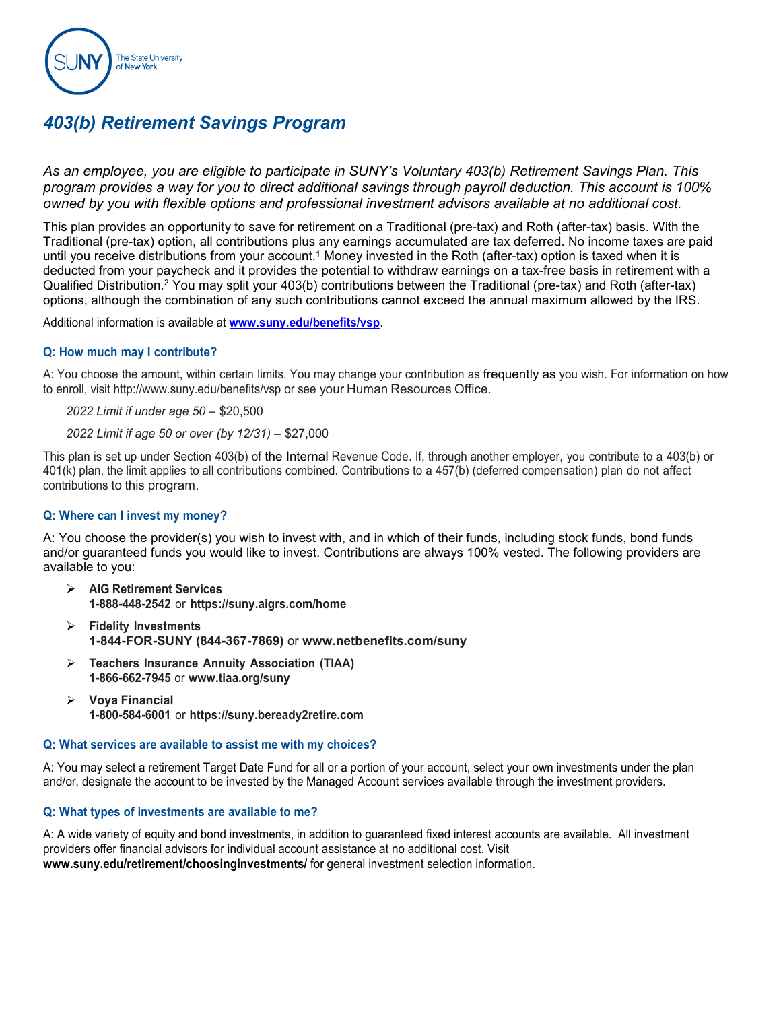

### *403(b) Retirement Savings Program*

*As an employee, you are eligible to participate in SUNY's Voluntary 403(b) Retirement Savings Plan. This program provides a way for you to direct additional savings through payroll deduction. This account is 100% owned by you with flexible options and professional investment advisors available at no additional cost.* 

This plan provides an opportunity to save for retirement on a Traditional (pre-tax) and Roth (after-tax) basis. With the Traditional (pre-tax) option, all contributions plus any earnings accumulated are tax deferred. No income taxes are paid until you receive distributions from your account.<sup>1</sup> Money invested in the Roth (after-tax) option is taxed when it is deducted from your paycheck and it provides the potential to withdraw earnings on a tax-free basis in retirement with a Qualified Distribution.<sup>2</sup> You may split your 403(b) contributions between the Traditional (pre-tax) and Roth (after-tax) options, although the combination of any such contributions cannot exceed the annual maximum allowed by the IRS.

Additional information is available at **[www.suny.edu/benefits/vsp](http://www.suny.edu/benefits/vsp)**.

#### **Q: How much may I contribute?**

A: You choose the amount, within certain limits. You may change your contribution as frequently as you wish. For information on how to enroll, visit [http://www.suny.edu/benefits/vsp o](http://www.suny.edu/benefits/vsp)r see your Human Resources Office.

*2022 Limit if under age 50* – \$20,500

*2022 Limit if age 50 or over (by 12/31)* – \$27,000

This plan is set up under Section 403(b) of the Internal Revenue Code. If, through another employer, you contribute to a 403(b) or 401(k) plan, the limit applies to all contributions combined. Contributions to a 457(b) (deferred compensation) plan do not affect contributions to this program.

#### **Q: Where can I invest my money?**

A: You choose the provider(s) you wish to invest with, and in which of their funds, including stock funds, bond funds and/or guaranteed funds you would like to invest. Contributions are always 100% vested. The following providers are available to you:

- **AIG Retirement Services 1-888-448-2542** or **https://suny.aigrs.com/home**
- **Fidelity Investments 1-844-FOR-SUNY (844-367-7869)** or **[www.netbenefits.com/suny](http://www.netbenefits.com/suny)**
- **Teachers Insurance Annuity Association (TIAA) 1-866-662-7945** or **[www.tiaa.org/suny](http://www.tiaa.org/suny)**
- **Voya Financial 1-800-584-6001** or **https://suny.beready2retire.com**

#### **Q: What services are available to assist me with my choices?**

A: You may select a retirement Target Date Fund for all or a portion of your account, select your own investments under the plan and/or, designate the account to be invested by the Managed Account services available through the investment providers.

#### **Q: What types of investments are available to me?**

A: A wide variety of equity and bond investments, in addition to guaranteed fixed interest accounts are available. All investment providers offer financial advisors for individual account assistance at no additional cost. Visit **www.suny.edu/retirement/choosinginvestments/** for general investment selection information.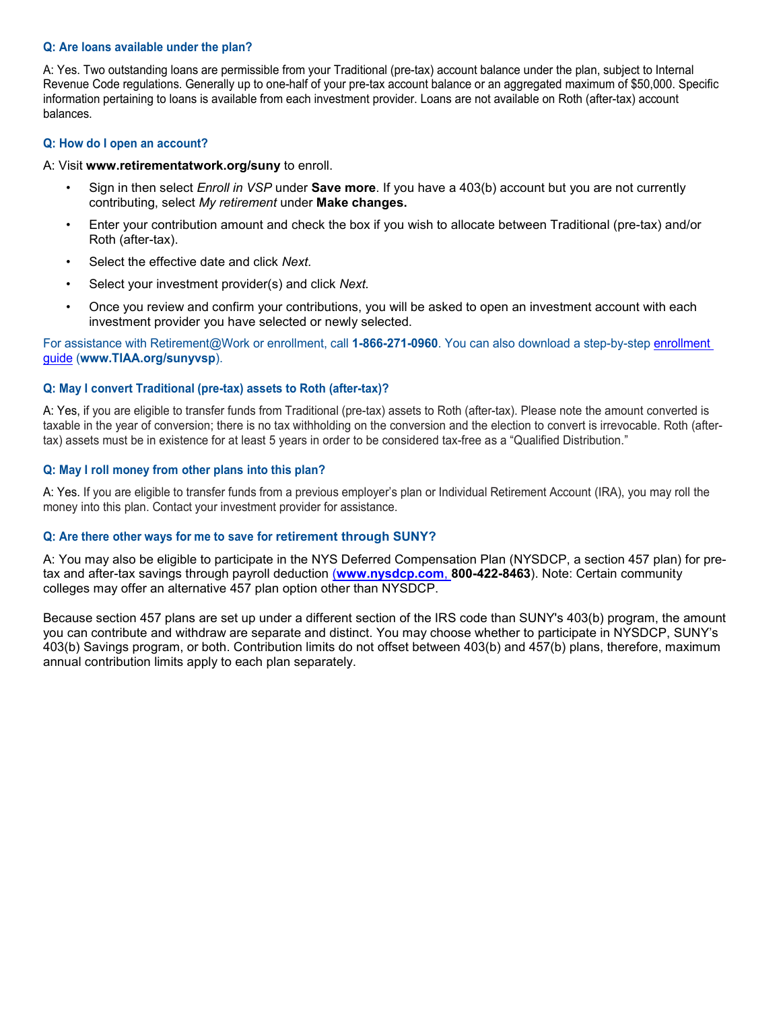#### **Q: Are loans available under the plan?**

A: Yes. Two outstanding loans are permissible from your Traditional (pre-tax) account balance under the plan, subject to Internal Revenue Code regulations. Generally up to one-half of your pre-tax account balance or an aggregated maximum of \$50,000. Specific information pertaining to loans is available from each investment provider. Loans are not available on Roth (after-tax) account balances.

#### **Q: How do I open an account?**

#### A: Visit **www.retirementatwork.org/suny** to enroll.

- Sign in then select *Enroll in VSP* under **Save more**. If you have a 403(b) account but you are not currently contributing, select *My retirement* under **Make changes.**
- Enter your contribution amount and check the box if you wish to allocate between Traditional (pre-tax) and/or Roth (after-tax).
- Select the effective date and click *Next.*
- Select your investment provider(s) and click *Next.*
- Once you review and confirm your contributions, you will be asked to open an investment account with each investment provider you have selected or newly selected.

For assistance with Retirement@Work or enrollment, call **1-866-271-0960**. You can also download a step-by-step [enrollment](http://www.tiaa.org/public/pdf/SUNY_MVC_TDA_Guide_Enrollment_Guide.pdf)  [guide](http://www.tiaa.org/public/pdf/SUNY_MVC_TDA_Guide_Enrollment_Guide.pdf) (**www.TIAA.org/sunyvsp**).

#### **Q: May I convert Traditional (pre-tax) assets to Roth (after-tax)?**

A: Yes, if you are eligible to transfer funds from Traditional (pre-tax) assets to Roth (after-tax). Please note the amount converted is taxable in the year of conversion; there is no tax withholding on the conversion and the election to convert is irrevocable. Roth (aftertax) assets must be in existence for at least 5 years in order to be considered tax-free as a "Qualified Distribution."

#### **Q: May I roll money from other plans into this plan?**

A: Yes. If you are eligible to transfer funds from a previous employer's plan or Individual Retirement Account (IRA), you may roll the money into this plan. Contact your investment provider for assistance.

#### **Q: Are there other ways for me to save for retirement through SUNY?**

A: You may also be eligible to participate in the NYS Deferred Compensation Plan (NYSDCP, a section 457 plan) for pretax and after-tax savings through payroll deduction (**[www.nysdcp.com](http://www.nysdcp.com/)**, **800-422-8463**). Note: Certain community colleges may offer an alternative 457 plan option other than NYSDCP.

Because section 457 plans are set up under a different section of the IRS code than SUNY's 403(b) program, the amount you can contribute and withdraw are separate and distinct. You may choose whether to participate in NYSDCP, SUNY's 403(b) Savings program, or both. Contribution limits do not offset between 403(b) and 457(b) plans, therefore, maximum annual contribution limits apply to each plan separately.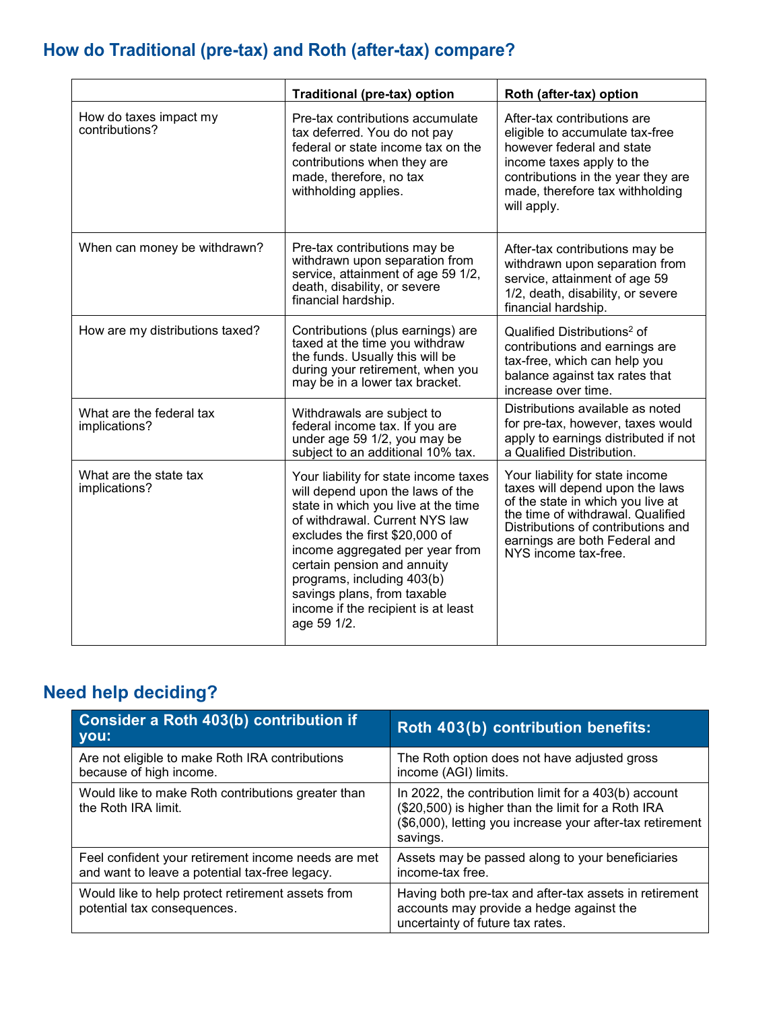# **How do Traditional (pre-tax) and Roth (after-tax) compare?**

|                                           | <b>Traditional (pre-tax) option</b>                                                                                                                                                                                                                                                                                                                                       | Roth (after-tax) option                                                                                                                                                                                                                     |
|-------------------------------------------|---------------------------------------------------------------------------------------------------------------------------------------------------------------------------------------------------------------------------------------------------------------------------------------------------------------------------------------------------------------------------|---------------------------------------------------------------------------------------------------------------------------------------------------------------------------------------------------------------------------------------------|
| How do taxes impact my<br>contributions?  | Pre-tax contributions accumulate<br>tax deferred. You do not pay<br>federal or state income tax on the<br>contributions when they are<br>made, therefore, no tax<br>withholding applies.                                                                                                                                                                                  | After-tax contributions are<br>eligible to accumulate tax-free<br>however federal and state<br>income taxes apply to the<br>contributions in the year they are<br>made, therefore tax withholding<br>will apply.                            |
| When can money be withdrawn?              | Pre-tax contributions may be<br>withdrawn upon separation from<br>service, attainment of age 59 1/2,<br>death, disability, or severe<br>financial hardship.                                                                                                                                                                                                               | After-tax contributions may be<br>withdrawn upon separation from<br>service, attainment of age 59<br>1/2, death, disability, or severe<br>financial hardship.                                                                               |
| How are my distributions taxed?           | Contributions (plus earnings) are<br>taxed at the time you withdraw<br>the funds. Usually this will be<br>during your retirement, when you<br>may be in a lower tax bracket.                                                                                                                                                                                              | Qualified Distributions <sup>2</sup> of<br>contributions and earnings are<br>tax-free, which can help you<br>balance against tax rates that<br>increase over time.                                                                          |
| What are the federal tax<br>implications? | Withdrawals are subject to<br>federal income tax. If you are<br>under age 59 1/2, you may be<br>subject to an additional 10% tax.                                                                                                                                                                                                                                         | Distributions available as noted<br>for pre-tax, however, taxes would<br>apply to earnings distributed if not<br>a Qualified Distribution.                                                                                                  |
| What are the state tax<br>implications?   | Your liability for state income taxes<br>will depend upon the laws of the<br>state in which you live at the time<br>of withdrawal. Current NYS law<br>excludes the first \$20,000 of<br>income aggregated per year from<br>certain pension and annuity<br>programs, including 403(b)<br>savings plans, from taxable<br>income if the recipient is at least<br>age 59 1/2. | Your liability for state income<br>taxes will depend upon the laws<br>of the state in which you live at<br>the time of withdrawal. Qualified<br>Distributions of contributions and<br>earnings are both Federal and<br>NYS income tax-free. |

## **Need help deciding?**

| Consider a Roth 403(b) contribution if<br>you:                                                        | Roth 403(b) contribution benefits:                                                                                                                                                  |
|-------------------------------------------------------------------------------------------------------|-------------------------------------------------------------------------------------------------------------------------------------------------------------------------------------|
| Are not eligible to make Roth IRA contributions<br>because of high income.                            | The Roth option does not have adjusted gross<br>income (AGI) limits.                                                                                                                |
| Would like to make Roth contributions greater than<br>the Roth IRA limit.                             | In 2022, the contribution limit for a 403(b) account<br>(\$20,500) is higher than the limit for a Roth IRA<br>(\$6,000), letting you increase your after-tax retirement<br>savings. |
| Feel confident your retirement income needs are met<br>and want to leave a potential tax-free legacy. | Assets may be passed along to your beneficiaries<br>income-tax free.                                                                                                                |
| Would like to help protect retirement assets from<br>potential tax consequences.                      | Having both pre-tax and after-tax assets in retirement<br>accounts may provide a hedge against the<br>uncertainty of future tax rates.                                              |